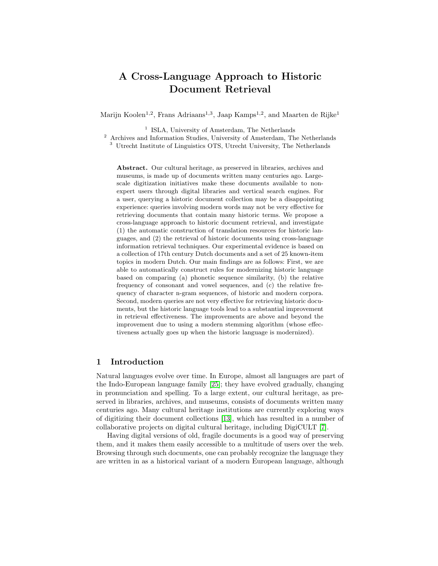# A Cross-Language Approach to Historic Document Retrieval

Marijn Koolen<sup>1,2</sup>, Frans Adriaans<sup>1,3</sup>, Jaap Kamps<sup>1,2</sup>, and Maarten de Rijke<sup>1</sup>

<sup>1</sup> ISLA, University of Amsterdam, The Netherlands

<sup>2</sup> Archives and Information Studies, University of Amsterdam, The Netherlands

<sup>3</sup> Utrecht Institute of Linguistics OTS, Utrecht University, The Netherlands

Abstract. Our cultural heritage, as preserved in libraries, archives and museums, is made up of documents written many centuries ago. Largescale digitization initiatives make these documents available to nonexpert users through digital libraries and vertical search engines. For a user, querying a historic document collection may be a disappointing experience: queries involving modern words may not be very effective for retrieving documents that contain many historic terms. We propose a cross-language approach to historic document retrieval, and investigate (1) the automatic construction of translation resources for historic languages, and (2) the retrieval of historic documents using cross-language information retrieval techniques. Our experimental evidence is based on a collection of 17th century Dutch documents and a set of 25 known-item topics in modern Dutch. Our main findings are as follows: First, we are able to automatically construct rules for modernizing historic language based on comparing (a) phonetic sequence similarity, (b) the relative frequency of consonant and vowel sequences, and (c) the relative frequency of character n-gram sequences, of historic and modern corpora. Second, modern queries are not very effective for retrieving historic documents, but the historic language tools lead to a substantial improvement in retrieval effectiveness. The improvements are above and beyond the improvement due to using a modern stemming algorithm (whose effectiveness actually goes up when the historic language is modernized).

# 1 Introduction

Natural languages evolve over time. In Europe, almost all languages are part of the Indo-European language family [\[25\]](#page-11-0); they have evolved gradually, changing in pronunciation and spelling. To a large extent, our cultural heritage, as preserved in libraries, archives, and museums, consists of documents written many centuries ago. Many cultural heritage institutions are currently exploring ways of digitizing their document collections [\[13\]](#page-11-1), which has resulted in a number of collaborative projects on digital cultural heritage, including DigiCULT [\[7\]](#page-11-2).

Having digital versions of old, fragile documents is a good way of preserving them, and it makes them easily accessible to a multitude of users over the web. Browsing through such documents, one can probably recognize the language they are written in as a historical variant of a modern European language, although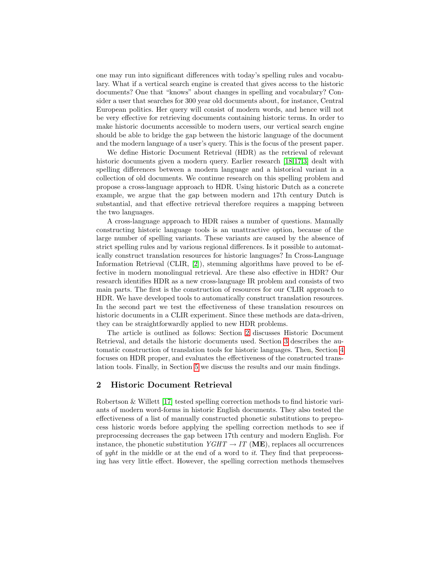one may run into significant differences with today's spelling rules and vocabulary. What if a vertical search engine is created that gives access to the historic documents? One that "knows" about changes in spelling and vocabulary? Consider a user that searches for 300 year old documents about, for instance, Central European politics. Her query will consist of modern words, and hence will not be very effective for retrieving documents containing historic terms. In order to make historic documents accessible to modern users, our vertical search engine should be able to bridge the gap between the historic language of the document and the modern language of a user's query. This is the focus of the present paper.

We define Historic Document Retrieval (HDR) as the retrieval of relevant historic documents given a modern query. Earlier research [\[18](#page-11-3)[,17](#page-11-4)[,3\]](#page-11-5) dealt with spelling differences between a modern language and a historical variant in a collection of old documents. We continue research on this spelling problem and propose a cross-language approach to HDR. Using historic Dutch as a concrete example, we argue that the gap between modern and 17th century Dutch is substantial, and that effective retrieval therefore requires a mapping between the two languages.

A cross-language approach to HDR raises a number of questions. Manually constructing historic language tools is an unattractive option, because of the large number of spelling variants. These variants are caused by the absence of strict spelling rules and by various regional differences. Is it possible to automatically construct translation resources for historic languages? In Cross-Language Information Retrieval (CLIR, [\[2\]](#page-11-6)), stemming algorithms have proved to be effective in modern monolingual retrieval. Are these also effective in HDR? Our research identifies HDR as a new cross-language IR problem and consists of two main parts. The first is the construction of resources for our CLIR approach to HDR. We have developed tools to automatically construct translation resources. In the second part we test the effectiveness of these translation resources on historic documents in a CLIR experiment. Since these methods are data-driven, they can be straightforwardly applied to new HDR problems.

The article is outlined as follows: Section [2](#page-1-0) discusses Historic Document Retrieval, and details the historic documents used. Section [3](#page-3-0) describes the automatic construction of translation tools for historic languages. Then, Section [4](#page-7-0) focuses on HDR proper, and evaluates the effectiveness of the constructed translation tools. Finally, in Section [5](#page-9-0) we discuss the results and our main findings.

# <span id="page-1-0"></span>2 Historic Document Retrieval

Robertson & Willett [\[17\]](#page-11-4) tested spelling correction methods to find historic variants of modern word-forms in historic English documents. They also tested the effectiveness of a list of manually constructed phonetic substitutions to preprocess historic words before applying the spelling correction methods to see if preprocessing decreases the gap between 17th century and modern English. For instance, the phonetic substitution  $YGHT \to IT$  (ME), replaces all occurrences of *yght* in the middle or at the end of a word to *it*. They find that preprocessing has very little effect. However, the spelling correction methods themselves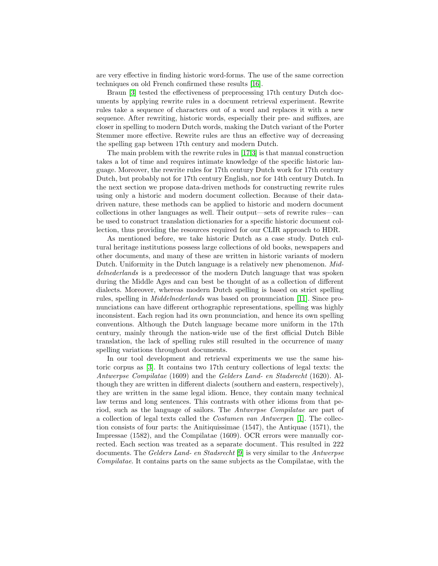are very effective in finding historic word-forms. The use of the same correction techniques on old French confirmed these results [\[16\]](#page-11-7).

Braun [\[3\]](#page-11-5) tested the effectiveness of preprocessing 17th century Dutch documents by applying rewrite rules in a document retrieval experiment. Rewrite rules take a sequence of characters out of a word and replaces it with a new sequence. After rewriting, historic words, especially their pre- and suffixes, are closer in spelling to modern Dutch words, making the Dutch variant of the Porter Stemmer more effective. Rewrite rules are thus an effective way of decreasing the spelling gap between 17th century and modern Dutch.

The main problem with the rewrite rules in [\[17](#page-11-4)[,3\]](#page-11-5) is that manual construction takes a lot of time and requires intimate knowledge of the specific historic language. Moreover, the rewrite rules for 17th century Dutch work for 17th century Dutch, but probably not for 17th century English, nor for 14th century Dutch. In the next section we propose data-driven methods for constructing rewrite rules using only a historic and modern document collection. Because of their datadriven nature, these methods can be applied to historic and modern document collections in other languages as well. Their output—sets of rewrite rules—can be used to construct translation dictionaries for a specific historic document collection, thus providing the resources required for our CLIR approach to HDR.

As mentioned before, we take historic Dutch as a case study. Dutch cultural heritage institutions possess large collections of old books, newspapers and other documents, and many of these are written in historic variants of modern Dutch. Uniformity in the Dutch language is a relatively new phenomenon. Middelnederlands is a predecessor of the modern Dutch language that was spoken during the Middle Ages and can best be thought of as a collection of different dialects. Moreover, whereas modern Dutch spelling is based on strict spelling rules, spelling in Middelnederlands was based on pronunciation [\[11\]](#page-11-8). Since pronunciations can have different orthographic representations, spelling was highly inconsistent. Each region had its own pronunciation, and hence its own spelling conventions. Although the Dutch language became more uniform in the 17th century, mainly through the nation-wide use of the first official Dutch Bible translation, the lack of spelling rules still resulted in the occurrence of many spelling variations throughout documents.

In our tool development and retrieval experiments we use the same historic corpus as [\[3\]](#page-11-5). It contains two 17th century collections of legal texts: the Antwerpse Compilatae (1609) and the Gelders Land- en Stadsrecht (1620). Although they are written in different dialects (southern and eastern, respectively), they are written in the same legal idiom. Hence, they contain many technical law terms and long sentences. This contrasts with other idioms from that period, such as the language of sailors. The Antwerpse Compilatae are part of a collection of legal texts called the Costumen van Antwerpen [\[1\]](#page-10-0). The collection consists of four parts: the Anitiquissimae (1547), the Antiquae (1571), the Impressae (1582), and the Compilatae (1609). OCR errors were manually corrected. Each section was treated as a separate document. This resulted in 222 documents. The Gelders Land- en Stadsrecht [\[9\]](#page-11-9) is very similar to the Antwerpse Compilatae. It contains parts on the same subjects as the Compilatae, with the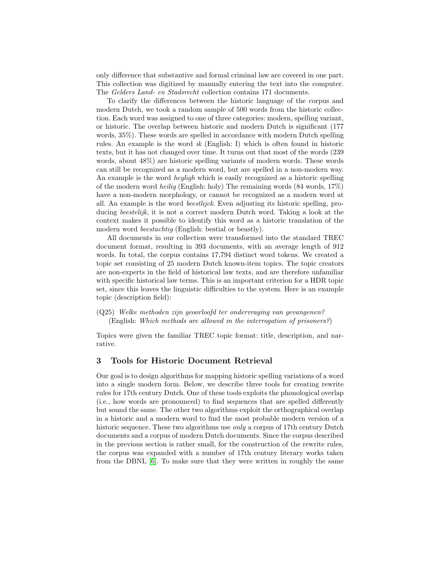only difference that substantive and formal criminal law are covered in one part. This collection was digitized by manually entering the text into the computer. The Gelders Land- en Stadsrecht collection contains 171 documents.

To clarify the differences between the historic language of the corpus and modern Dutch, we took a random sample of 500 words from the historic collection. Each word was assigned to one of three categories: modern, spelling variant, or historic. The overlap between historic and modern Dutch is significant (177 words, 35%). These words are spelled in accordance with modern Dutch spelling rules. An example is the word  $ik$  (English: I) which is often found in historic texts, but it has not changed over time. It turns out that most of the words (239 words, about 48%) are historic spelling variants of modern words. These words can still be recognized as a modern word, but are spelled in a non-modern way. An example is the word heyligh which is easily recognized as a historic spelling of the modern word *heilig* (English: holy) The remaining words  $(84 \text{ words}, 17\%)$ have a non-modern morphology, or cannot be recognized as a modern word at all. An example is the word beestlijck. Even adjusting its historic spelling, producing *beestelijk*, it is not a correct modern Dutch word. Taking a look at the context makes it possible to identify this word as a historic translation of the modern word *beestachtiq* (English: bestial or beastly).

All documents in our collection were transformed into the standard TREC document format, resulting in 393 documents, with an average length of 912 words. In total, the corpus contains 17,794 distinct word tokens. We created a topic set consisting of 25 modern Dutch known-item topics. The topic creators are non-experts in the field of historical law texts, and are therefore unfamiliar with specific historical law terms. This is an important criterion for a HDR topic set, since this leaves the linguistic difficulties to the system. Here is an example topic (description field):

(Q25) Welke methoden zijn geoorloofd ter ondervraging van gevangenen? (English: Which methods are allowed in the interrogation of prisoners?)

Topics were given the familiar TREC topic format: title, description, and narrative.

# <span id="page-3-0"></span>3 Tools for Historic Document Retrieval

Our goal is to design algorithms for mapping historic spelling variations of a word into a single modern form. Below, we describe three tools for creating rewrite rules for 17th century Dutch. One of these tools exploits the phonological overlap (i.e., how words are pronounced) to find sequences that are spelled differently but sound the same. The other two algorithms exploit the orthographical overlap in a historic and a modern word to find the most probable modern version of a historic sequence. These two algorithms use *only* a corpus of 17th century Dutch documents and a corpus of modern Dutch documents. Since the corpus described in the previous section is rather small, for the construction of the rewrite rules, the corpus was expanded with a number of 17th century literary works taken from the DBNL [\[6\]](#page-11-10). To make sure that they were written in roughly the same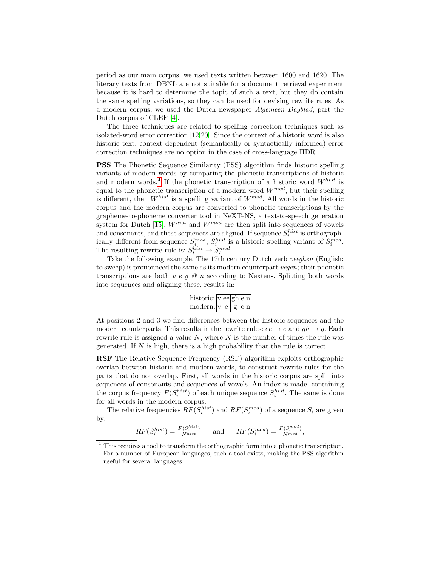period as our main corpus, we used texts written between 1600 and 1620. The literary texts from DBNL are not suitable for a document retrieval experiment because it is hard to determine the topic of such a text, but they do contain the same spelling variations, so they can be used for devising rewrite rules. As a modern corpus, we used the Dutch newspaper Algemeen Dagblad, part the Dutch corpus of CLEF [\[4\]](#page-11-11).

The three techniques are related to spelling correction techniques such as isolated-word error correction [\[12](#page-11-12)[,20\]](#page-11-13). Since the context of a historic word is also historic text, context dependent (semantically or syntactically informed) error correction techniques are no option in the case of cross-language HDR.

PSS The Phonetic Sequence Similarity (PSS) algorithm finds historic spelling variants of modern words by comparing the phonetic transcriptions of historic and modern words.<sup>[4](#page-4-0)</sup> If the phonetic transcription of a historic word  $W^{hist}$  is equal to the phonetic transcription of a modern word  $W^{mod}$ , but their spelling is different, then  $W^{hist}$  is a spelling variant of  $W^{mod}$ . All words in the historic corpus and the modern corpus are converted to phonetic transcriptions by the grapheme-to-phoneme converter tool in NeXTeNS, a text-to-speech generation system for Dutch [\[15\]](#page-11-14).  $W^{hist}$  and  $W^{mod}$  are then split into sequences of vowels and consonants, and these sequences are aligned. If sequence  $S_i^{hist}$  is orthographically different from sequence  $S_i^{mod}$ ,  $S_i^{hist}$  is a historic spelling variant of  $S_i^{mod}$ . The resulting rewrite rule is:  $S_i^{hist} \rightarrow S_i^{mod}$ .

Take the following example. The 17th century Dutch verb veeghen (English: to sweep) is pronounced the same as its modern counterpart vegen; their phonetic transcriptions are both  $v e q @ n$  according to Nextens. Splitting both words into sequences and aligning these, results in:

| historic: $ v e e  g h  e  n $ |  |  |  |
|--------------------------------|--|--|--|
| modern: $ v  e   g   e   n$    |  |  |  |

At positions 2 and 3 we find differences between the historic sequences and the modern counterparts. This results in the rewrite rules:  $ee \rightarrow e$  and  $gh \rightarrow g$ . Each rewrite rule is assigned a value  $N$ , where  $N$  is the number of times the rule was generated. If N is high, there is a high probability that the rule is correct.

RSF The Relative Sequence Frequency (RSF) algorithm exploits orthographic overlap between historic and modern words, to construct rewrite rules for the parts that do not overlap. First, all words in the historic corpus are split into sequences of consonants and sequences of vowels. An index is made, containing the corpus frequency  $F(S_i^{hist})$  of each unique sequence  $S_i^{hist}$ . The same is done for all words in the modern corpus.

The relative frequencies  $RF(S_i^{hist})$  and  $RF(S_i^{mod})$  of a sequence  $S_i$  are given by:

$$
RF(S_i^{hist}) = \frac{F(S_i^{hist})}{N^{hist}} \quad \text{and} \quad RF(S_i^{mod}) = \frac{F(S_i^{mod})}{N^{mod}},
$$

<span id="page-4-0"></span><sup>&</sup>lt;sup>4</sup> This requires a tool to transform the orthographic form into a phonetic transcription. For a number of European languages, such a tool exists, making the PSS algorithm useful for several languages.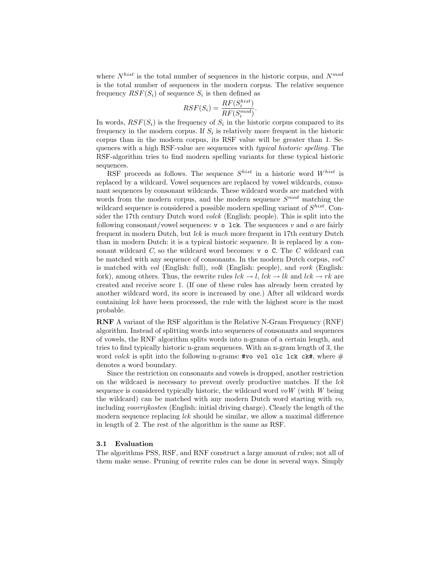where  $N^{hist}$  is the total number of sequences in the historic corpus, and  $N^{mod}$ is the total number of sequences in the modern corpus. The relative sequence frequency  $RSF(S_i)$  of sequence  $S_i$  is then defined as

$$
RSF(S_i) = \frac{RF(S_i^{hist})}{RF(S_i^{mod})}.
$$

In words,  $RSF(S_i)$  is the frequency of  $S_i$  in the historic corpus compared to its frequency in the modern corpus. If  $S_i$  is relatively more frequent in the historic corpus than in the modern corpus, its RSF value will be greater than 1. Sequences with a high RSF-value are sequences with typical historic spelling. The RSF-algorithm tries to find modern spelling variants for these typical historic sequences.

RSF proceeds as follows. The sequence  $S^{hist}$  in a historic word  $W^{hist}$  is replaced by a wildcard. Vowel sequences are replaced by vowel wildcards, consonant sequences by consonant wildcards. These wildcard words are matched with words from the modern corpus, and the modern sequence  $S^{mod}$  matching the wildcard sequence is considered a possible modern spelling variant of  $S^{hist}$ . Consider the 17th century Dutch word *volck* (English: people). This is split into the following consonant/vowel sequences:  $v \circ \mathbf{l}$ ck. The sequences v and o are fairly frequent in modern Dutch, but lck is much more frequent in 17th century Dutch than in modern Dutch: it is a typical historic sequence. It is replaced by a consonant wildcard  $C$ , so the wildcard word becomes:  $\nabla$  o C. The C wildcard can be matched with any sequence of consonants. In the modern Dutch corpus,  $voC$ is matched with vol (English: full), volk (English: people), and vork (English: fork), among others. Thus, the rewrite rules  $lck \rightarrow l$ ,  $lck \rightarrow lk$  and  $lck \rightarrow rk$  are created and receive score 1. (If one of these rules has already been created by another wildcard word, its score is increased by one.) After all wildcard words containing *lck* have been processed, the rule with the highest score is the most probable.

RNF A variant of the RSF algorithm is the Relative N-Gram Frequency (RNF) algorithm. Instead of splitting words into sequences of consonants and sequences of vowels, the RNF algorithm splits words into n-grams of a certain length, and tries to find typically historic n-gram sequences. With an n-gram length of 3, the word volck is split into the following n-grams: #vo vol olc lck ck#, where  $#$ denotes a word boundary.

Since the restriction on consonants and vowels is dropped, another restriction on the wildcard is necessary to prevent overly productive matches. If the lck sequence is considered typically historic, the wildcard word  $voW$  (with W being the wildcard) can be matched with any modern Dutch word starting with vo, including voorrijkosten (English: initial driving charge). Clearly the length of the modern sequence replacing *lck* should be similar, we allow a maximal difference in length of 2. The rest of the algorithm is the same as RSF.

#### 3.1 Evaluation

The algorithms PSS, RSF, and RNF construct a large amount of rules; not all of them make sense. Pruning of rewrite rules can be done in several ways. Simply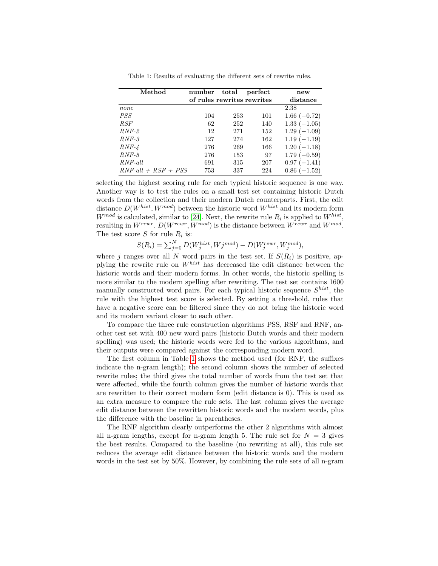| Method                       | number                     | $_{\rm total}$ | perfect | new           |
|------------------------------|----------------------------|----------------|---------|---------------|
|                              | of rules rewrites rewrites |                |         | distance      |
| none                         |                            |                |         | 2.38          |
| PSS                          | 104                        | 253            | 101     | $1.66(-0.72)$ |
| RSF                          | 62                         | 252            | 140     | $1.33(-1.05)$ |
| $RNF-2$                      | 12                         | 271            | 152     | $1.29(-1.09)$ |
| $RNF-3$                      | 127                        | 274            | 162     | $1.19(-1.19)$ |
| $RNF-4$                      | 276                        | 269            | 166     | $1.20(-1.18)$ |
| $RNF-5$                      | 276                        | 153            | 97      | $1.79(-0.59)$ |
| $RNF-all$                    | 691                        | 315            | 207     | $0.97(-1.41)$ |
| $RNF\text{-}all + RSF + PSS$ | 753                        | 337            | 224     | $0.86(-1.52)$ |

<span id="page-6-0"></span>Table 1: Results of evaluating the different sets of rewrite rules.

selecting the highest scoring rule for each typical historic sequence is one way. Another way is to test the rules on a small test set containing historic Dutch words from the collection and their modern Dutch counterparts. First, the edit distance  $D(W^{hist}, W^{mod})$  between the historic word  $W^{hist}$  and its modern form  $W^{mod}$  is calculated, similar to [\[24\]](#page-11-15). Next, the rewrite rule  $R_i$  is applied to  $W^{hist}$ , resulting in  $W^{rewr}$ .  $D(W^{rewr}, W^{mod})$  is the distance between  $W^{rewr}$  and  $W^{mod}$ . The test score  $S$  for rule  $R_i$  is:

$$
S(R_i) = \sum_{j=0}^{N} D(W_j^{hist}, W_j^{mod}) - D(W_j^{rewr}, W_j^{mod}),
$$

where j ranges over all N word pairs in the test set. If  $S(R_i)$  is positive, applying the rewrite rule on  $W^{hist}$  has decreased the edit distance between the historic words and their modern forms. In other words, the historic spelling is more similar to the modern spelling after rewriting. The test set contains 1600 manually constructed word pairs. For each typical historic sequence  $S^{hist}$ , the rule with the highest test score is selected. By setting a threshold, rules that have a negative score can be filtered since they do not bring the historic word and its modern variant closer to each other.

To compare the three rule construction algorithms PSS, RSF and RNF, another test set with 400 new word pairs (historic Dutch words and their modern spelling) was used; the historic words were fed to the various algorithms, and their outputs were compared against the corresponding modern word.

The first column in Table [1](#page-6-0) shows the method used (for RNF, the suffixes indicate the n-gram length); the second column shows the number of selected rewrite rules; the third gives the total number of words from the test set that were affected, while the fourth column gives the number of historic words that are rewritten to their correct modern form (edit distance is 0). This is used as an extra measure to compare the rule sets. The last column gives the average edit distance between the rewritten historic words and the modern words, plus the difference with the baseline in parentheses.

The RNF algorithm clearly outperforms the other 2 algorithms with almost all n-gram lengths, except for n-gram length 5. The rule set for  $N = 3$  gives the best results. Compared to the baseline (no rewriting at all), this rule set reduces the average edit distance between the historic words and the modern words in the test set by 50%. However, by combining the rule sets of all n-gram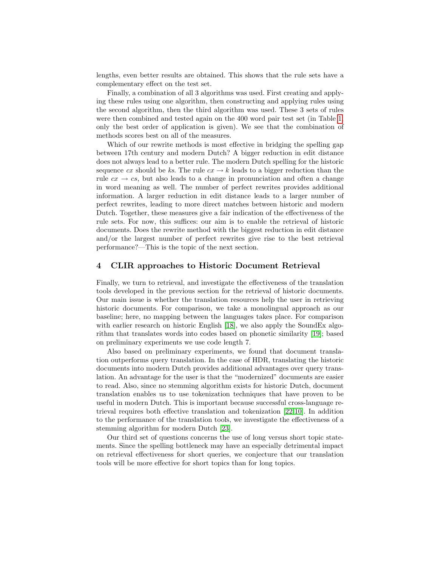lengths, even better results are obtained. This shows that the rule sets have a complementary effect on the test set.

Finally, a combination of all 3 algorithms was used. First creating and applying these rules using one algorithm, then constructing and applying rules using the second algorithm, then the third algorithm was used. These 3 sets of rules were then combined and tested again on the 400 word pair test set (in Table [1,](#page-6-0) only the best order of application is given). We see that the combination of methods scores best on all of the measures.

Which of our rewrite methods is most effective in bridging the spelling gap between 17th century and modern Dutch? A bigger reduction in edit distance does not always lead to a better rule. The modern Dutch spelling for the historic sequence cx should be ks. The rule  $cx \to k$  leads to a bigger reduction than the rule  $cx \rightarrow cs$ , but also leads to a change in pronunciation and often a change in word meaning as well. The number of perfect rewrites provides additional information. A larger reduction in edit distance leads to a larger number of perfect rewrites, leading to more direct matches between historic and modern Dutch. Together, these measures give a fair indication of the effectiveness of the rule sets. For now, this suffices: our aim is to enable the retrieval of historic documents. Does the rewrite method with the biggest reduction in edit distance and/or the largest number of perfect rewrites give rise to the best retrieval performance?—This is the topic of the next section.

## <span id="page-7-0"></span>4 CLIR approaches to Historic Document Retrieval

Finally, we turn to retrieval, and investigate the effectiveness of the translation tools developed in the previous section for the retrieval of historic documents. Our main issue is whether the translation resources help the user in retrieving historic documents. For comparison, we take a monolingual approach as our baseline; here, no mapping between the languages takes place. For comparison with earlier research on historic English [\[18\]](#page-11-3), we also apply the SoundEx algorithm that translates words into codes based on phonetic similarity [\[19\]](#page-11-16); based on preliminary experiments we use code length 7.

Also based on preliminary experiments, we found that document translation outperforms query translation. In the case of HDR, translating the historic documents into modern Dutch provides additional advantages over query translation. An advantage for the user is that the "modernized" documents are easier to read. Also, since no stemming algorithm exists for historic Dutch, document translation enables us to use tokenization techniques that have proven to be useful in modern Dutch. This is important because successful cross-language retrieval requires both effective translation and tokenization [\[22,](#page-11-17)[10\]](#page-11-18). In addition to the performance of the translation tools, we investigate the effectiveness of a stemming algorithm for modern Dutch [\[23\]](#page-11-19).

Our third set of questions concerns the use of long versus short topic statements. Since the spelling bottleneck may have an especially detrimental impact on retrieval effectiveness for short queries, we conjecture that our translation tools will be more effective for short topics than for long topics.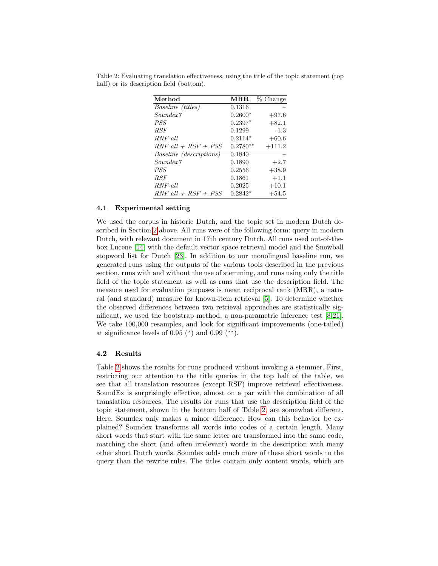| Method                         | $\operatorname{MRR}$ | % Change |
|--------------------------------|----------------------|----------|
| <i>Baseline (titles)</i>       | 0.1316               |          |
| Sounder7                       | $0.2600*$            | $+97.6$  |
| <i>PSS</i>                     | $0.2397*$            | $+82.1$  |
| <i>RSF</i>                     | 0.1299               | $-1.3$   |
| $RNF$ -all                     | $0.2114*$            | $+60.6$  |
| $RNF\text{-}all + RSF + PSS$   | $0.2780**$           | $+111.2$ |
| <i>Baseline (descriptions)</i> | 0.1840               |          |
| Sounder7                       | 0.1890               | $+2.7$   |
| <i>PSS</i>                     | 0.2556               | $+38.9$  |
| <i>RSF</i>                     | 0.1861               | $+1.1$   |
| $RNF-all$                      | 0.2025               | $+10.1$  |
| $RNF-all + RSF + PSS$          | $0.2842*$            | $+54.5$  |

<span id="page-8-0"></span>Table 2: Evaluating translation effectiveness, using the title of the topic statement (top half) or its description field (bottom).

### 4.1 Experimental setting

We used the corpus in historic Dutch, and the topic set in modern Dutch described in Section [2](#page-1-0) above. All runs were of the following form: query in modern Dutch, with relevant document in 17th century Dutch. All runs used out-of-thebox Lucene [\[14\]](#page-11-20) with the default vector space retrieval model and the Snowball stopword list for Dutch [\[23\]](#page-11-19). In addition to our monolingual baseline run, we generated runs using the outputs of the various tools described in the previous section, runs with and without the use of stemming, and runs using only the title field of the topic statement as well as runs that use the description field. The measure used for evaluation purposes is mean reciprocal rank (MRR), a natural (and standard) measure for known-item retrieval [\[5\]](#page-11-21). To determine whether the observed differences between two retrieval approaches are statistically significant, we used the bootstrap method, a non-parametric inference test [\[8](#page-11-22)[,21\]](#page-11-23). We take 100,000 resamples, and look for significant improvements (one-tailed) at significance levels of 0.95  $(*)$  and 0.99  $(**)$ .

#### 4.2 Results

Table [2](#page-8-0) shows the results for runs produced without invoking a stemmer. First, restricting our attention to the title queries in the top half of the table, we see that all translation resources (except RSF) improve retrieval effectiveness. SoundEx is surprisingly effective, almost on a par with the combination of all translation resources. The results for runs that use the description field of the topic statement, shown in the bottom half of Table [2,](#page-8-0) are somewhat different. Here, Soundex only makes a minor difference. How can this behavior be explained? Soundex transforms all words into codes of a certain length. Many short words that start with the same letter are transformed into the same code, matching the short (and often irrelevant) words in the description with many other short Dutch words. Soundex adds much more of these short words to the query than the rewrite rules. The titles contain only content words, which are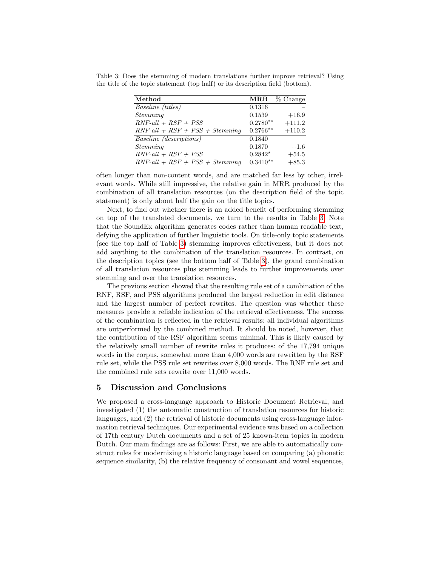<span id="page-9-1"></span>Table 3: Does the stemming of modern translations further improve retrieval? Using the title of the topic statement (top half) or its description field (bottom).

| Method                                  | $\operatorname{MRR}$ | $%$ Change |
|-----------------------------------------|----------------------|------------|
| <i>Baseline (titles)</i>                | 0.1316               |            |
| <i>Stemming</i>                         | 0.1539               | $+16.9$    |
| $RNF-all + RSF + PSS$                   | $0.2780**$           | $+111.2$   |
| $RNF-all + RSF + PSS + Stemming$        | $0.2766**$           | $+110.2$   |
| <i>Baseline (descriptions)</i>          | 0.1840               |            |
| <i>Stemming</i>                         | 0.1870               | $+1.6$     |
| $RNF-all + RSF + PSS$                   | $0.2842*$            | $+54.5$    |
| $RNF\text{-}all + RSF + PSS + Stemming$ | $0.3410**$           | $+85.3$    |

often longer than non-content words, and are matched far less by other, irrelevant words. While still impressive, the relative gain in MRR produced by the combination of all translation resources (on the description field of the topic statement) is only about half the gain on the title topics.

Next, to find out whether there is an added benefit of performing stemming on top of the translated documents, we turn to the results in Table [3.](#page-9-1) Note that the SoundEx algorithm generates codes rather than human readable text, defying the application of further linguistic tools. On title-only topic statements (see the top half of Table [3\)](#page-9-1) stemming improves effectiveness, but it does not add anything to the combination of the translation resources. In contrast, on the description topics (see the bottom half of Table [3\)](#page-9-1), the grand combination of all translation resources plus stemming leads to further improvements over stemming and over the translation resources.

The previous section showed that the resulting rule set of a combination of the RNF, RSF, and PSS algorithms produced the largest reduction in edit distance and the largest number of perfect rewrites. The question was whether these measures provide a reliable indication of the retrieval effectiveness. The success of the combination is reflected in the retrieval results: all individual algorithms are outperformed by the combined method. It should be noted, however, that the contribution of the RSF algorithm seems minimal. This is likely caused by the relatively small number of rewrite rules it produces: of the 17,794 unique words in the corpus, somewhat more than 4,000 words are rewritten by the RSF rule set, while the PSS rule set rewrites over 8,000 words. The RNF rule set and the combined rule sets rewrite over 11,000 words.

# <span id="page-9-0"></span>5 Discussion and Conclusions

We proposed a cross-language approach to Historic Document Retrieval, and investigated (1) the automatic construction of translation resources for historic languages, and (2) the retrieval of historic documents using cross-language information retrieval techniques. Our experimental evidence was based on a collection of 17th century Dutch documents and a set of 25 known-item topics in modern Dutch. Our main findings are as follows: First, we are able to automatically construct rules for modernizing a historic language based on comparing (a) phonetic sequence similarity, (b) the relative frequency of consonant and vowel sequences,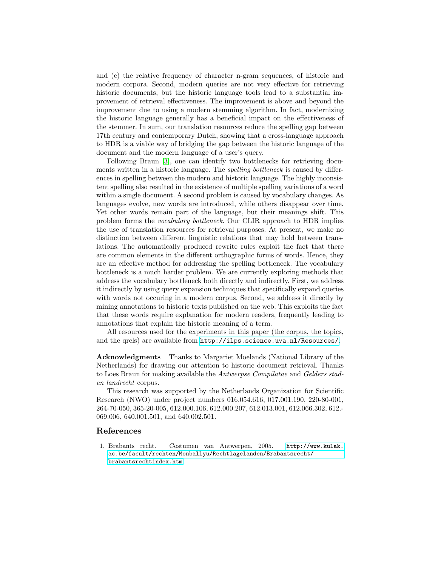and (c) the relative frequency of character n-gram sequences, of historic and modern corpora. Second, modern queries are not very effective for retrieving historic documents, but the historic language tools lead to a substantial improvement of retrieval effectiveness. The improvement is above and beyond the improvement due to using a modern stemming algorithm. In fact, modernizing the historic language generally has a beneficial impact on the effectiveness of the stemmer. In sum, our translation resources reduce the spelling gap between 17th century and contemporary Dutch, showing that a cross-language approach to HDR is a viable way of bridging the gap between the historic language of the document and the modern language of a user's query.

Following Braun [\[3\]](#page-11-5), one can identify two bottlenecks for retrieving documents written in a historic language. The *spelling bottleneck* is caused by differences in spelling between the modern and historic language. The highly inconsistent spelling also resulted in the existence of multiple spelling variations of a word within a single document. A second problem is caused by vocabulary changes. As languages evolve, new words are introduced, while others disappear over time. Yet other words remain part of the language, but their meanings shift. This problem forms the vocabulary bottleneck. Our CLIR approach to HDR implies the use of translation resources for retrieval purposes. At present, we make no distinction between different linguistic relations that may hold between translations. The automatically produced rewrite rules exploit the fact that there are common elements in the different orthographic forms of words. Hence, they are an effective method for addressing the spelling bottleneck. The vocabulary bottleneck is a much harder problem. We are currently exploring methods that address the vocabulary bottleneck both directly and indirectly. First, we address it indirectly by using query expansion techniques that specifically expand queries with words not occuring in a modern corpus. Second, we address it directly by mining annotations to historic texts published on the web. This exploits the fact that these words require explanation for modern readers, frequently leading to annotations that explain the historic meaning of a term.

All resources used for the experiments in this paper (the corpus, the topics, and the qrels) are available from <http://ilps.science.uva.nl/Resources/>.

Acknowledgments Thanks to Margariet Moelands (National Library of the Netherlands) for drawing our attention to historic document retrieval. Thanks to Loes Braun for making available the Antwerpse Compilatae and Gelders staden landrecht corpus.

This research was supported by the Netherlands Organization for Scientific Research (NWO) under project numbers 016.054.616, 017.001.190, 220-80-001, 264-70-050, 365-20-005, 612.000.106, 612.000.207, 612.013.001, 612.066.302, 612.- 069.006, 640.001.501, and 640.002.501.

### References

<span id="page-10-0"></span>1. Brabants recht. Costumen van Antwerpen, 2005. [http://www.kulak.](http://www.kulak.ac.be/facult/rechten/Monballyu/Rechtlagelanden/Brabantsrecht/brabantsrechtindex.htm) [ac.be/facult/rechten/Monballyu/Rechtlagelanden/Brabantsrecht/](http://www.kulak.ac.be/facult/rechten/Monballyu/Rechtlagelanden/Brabantsrecht/brabantsrechtindex.htm) [brabantsrechtindex.htm](http://www.kulak.ac.be/facult/rechten/Monballyu/Rechtlagelanden/Brabantsrecht/brabantsrechtindex.htm).